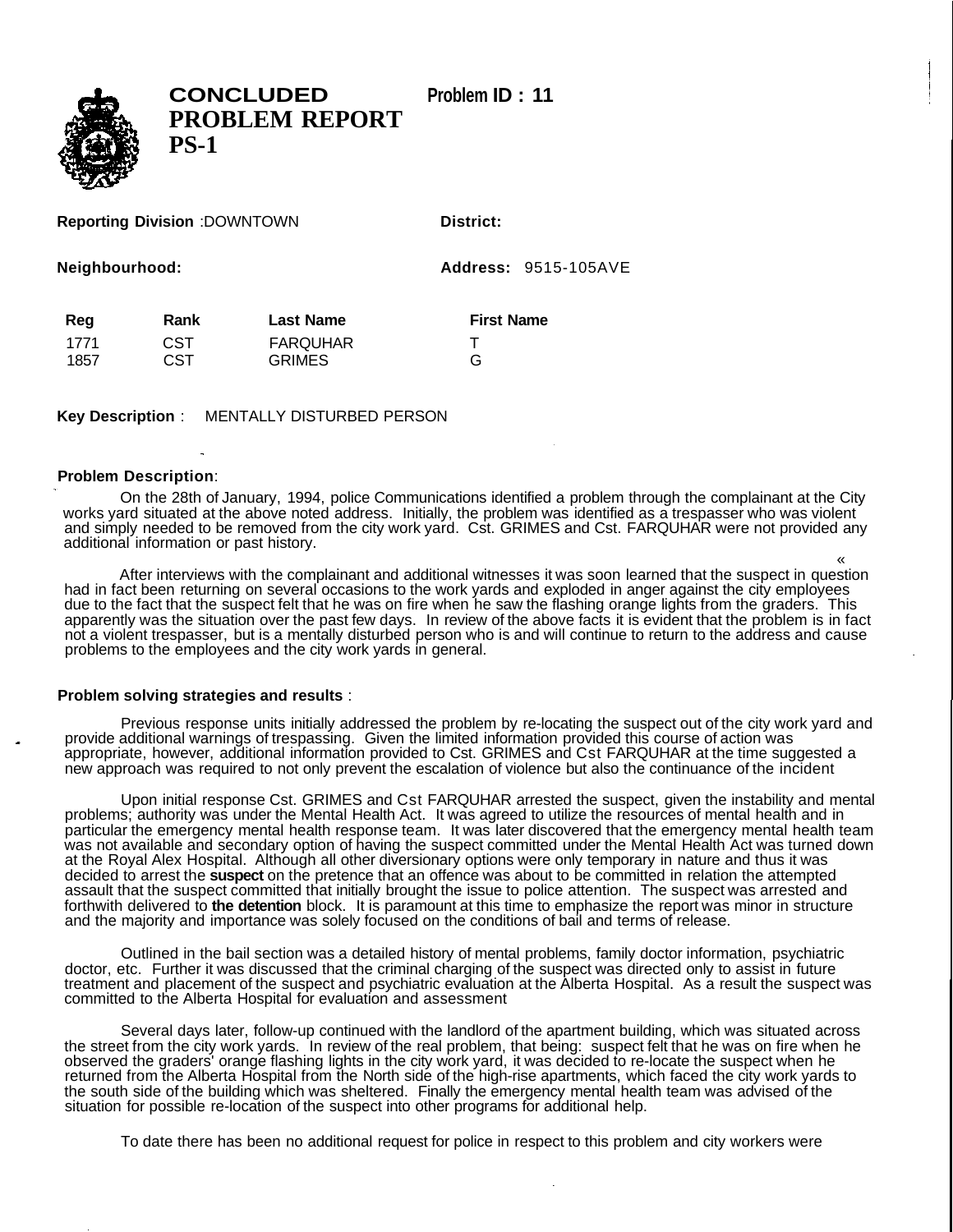

**CONCLUDED Problem ID : 11 PROBLEM REPORT PS-1**

## **Reporting Division** :DOWNTOWN **District:**

**Neighbourhood: Address:** 9515-105AVE

| Reg  | Rank | <b>Last Name</b> | <b>First Name</b> |
|------|------|------------------|-------------------|
| 1771 | CST  | <b>FARQUHAR</b>  |                   |
| 1857 | CST  | <b>GRIMES</b>    | G                 |

**Key Description** : MENTALLY DISTURBED PERSON

## **Problem Description**:

On the 28th of January, 1994, police Communications identified a problem through the complainant at the City works yard situated at the above noted address. Initially, the problem was identified as a trespasser who was violent and simply needed to be removed from the city work yard. Cst. GRIMES and Cst. FARQUHAR were not provided any additional information or past history.

« After interviews with the complainant and additional witnesses it was soon learned that the suspect in question had in fact been returning on several occasions to the work yards and exploded in anger against the city employees due to the fact that the suspect felt that he was on fire when he saw the flashing orange lights from the graders. This apparently was the situation over the past few days. In review of the above facts it is evident that the problem is in fact not a violent trespasser, but is a mentally disturbed person who is and will continue to return to the address and cause problems to the employees and the city work yards in general.

## **Problem solving strategies and results** :

Previous response units initially addressed the problem by re-locating the suspect out of the city work yard and provide additional warnings of trespassing. Given the limited information provided this course of action was appropriate, however, additional information provided to Cst. GRIMES and Cst FARQUHAR at the time suggested a new approach was required to not only prevent the escalation of violence but also the continuance of the incident

Upon initial response Cst. GRIMES and Cst FARQUHAR arrested the suspect, given the instability and mental problems; authority was under the Mental Health Act. It was agreed to utilize the resources of mental health and in particular the emergency mental health response team. It was later discovered that the emergency mental health team was not available and secondary option of having the suspect committed under the Mental Health Act was turned down at the Royal Alex Hospital. Although all other diversionary options were only temporary in nature and thus it was decided to arrest the **suspect** on the pretence that an offence was about to be committed in relation the attempted assault that the suspect committed that initially brought the issue to police attention. The suspect was arrested and forthwith delivered to **the detention** block. It is paramount at this time to emphasize the report was minor in structure and the majority and importance was solely focused on the conditions of bail and terms of release.

Outlined in the bail section was a detailed history of mental problems, family doctor information, psychiatric doctor, etc. Further it was discussed that the criminal charging of the suspect was directed only to assist in future treatment and placement of the suspect and psychiatric evaluation at the Alberta Hospital. As a result the suspect was committed to the Alberta Hospital for evaluation and assessment

Several days later, follow-up continued with the landlord of the apartment building, which was situated across the street from the city work yards. In review of the real problem, that being: suspect felt that he was on fire when he observed the graders' orange flashing lights in the city work yard, it was decided to re-locate the suspect when he returned from the Alberta Hospital from the North side of the high-rise apartments, which faced the city work yards to the south side of the building which was sheltered. Finally the emergency mental health team was advised of the situation for possible re-location of the suspect into other programs for additional help.

To date there has been no additional request for police in respect to this problem and city workers were